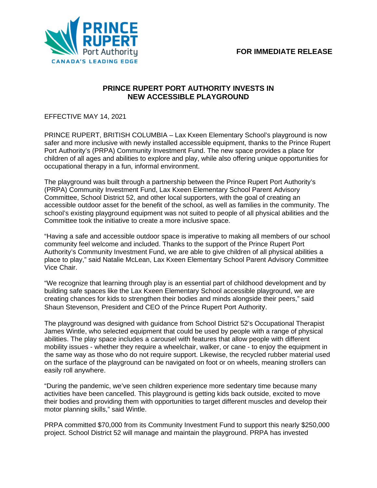

## **PRINCE RUPERT PORT AUTHORITY INVESTS IN NEW ACCESSIBLE PLAYGROUND**

EFFECTIVE MAY 14, 2021

PRINCE RUPERT, BRITISH COLUMBIA – Lax Kxeen Elementary School's playground is now safer and more inclusive with newly installed accessible equipment, thanks to the Prince Rupert Port Authority's (PRPA) Community Investment Fund. The new space provides a place for children of all ages and abilities to explore and play, while also offering unique opportunities for occupational therapy in a fun, informal environment.

The playground was built through a partnership between the Prince Rupert Port Authority's (PRPA) Community Investment Fund, Lax Kxeen Elementary School Parent Advisory Committee, School District 52, and other local supporters, with the goal of creating an accessible outdoor asset for the benefit of the school, as well as families in the community. The school's existing playground equipment was not suited to people of all physical abilities and the Committee took the initiative to create a more inclusive space.

"Having a safe and accessible outdoor space is imperative to making all members of our school community feel welcome and included. Thanks to the support of the Prince Rupert Port Authority's Community Investment Fund, we are able to give children of all physical abilities a place to play," said Natalie McLean, Lax Kxeen Elementary School Parent Advisory Committee Vice Chair.

"We recognize that learning through play is an essential part of childhood development and by building safe spaces like the Lax Kxeen Elementary School accessible playground, we are creating chances for kids to strengthen their bodies and minds alongside their peers," said Shaun Stevenson, President and CEO of the Prince Rupert Port Authority.

The playground was designed with guidance from School District 52's Occupational Therapist James Wintle, who selected equipment that could be used by people with a range of physical abilities. The play space includes a carousel with features that allow people with different mobility issues - whether they require a wheelchair, walker, or cane - to enjoy the equipment in the same way as those who do not require support. Likewise, the recycled rubber material used on the surface of the playground can be navigated on foot or on wheels, meaning strollers can easily roll anywhere.

"During the pandemic, we've seen children experience more sedentary time because many activities have been cancelled. This playground is getting kids back outside, excited to move their bodies and providing them with opportunities to target different muscles and develop their motor planning skills," said Wintle.

PRPA committed \$70,000 from its Community Investment Fund to support this nearly \$250,000 project. School District 52 will manage and maintain the playground. PRPA has invested